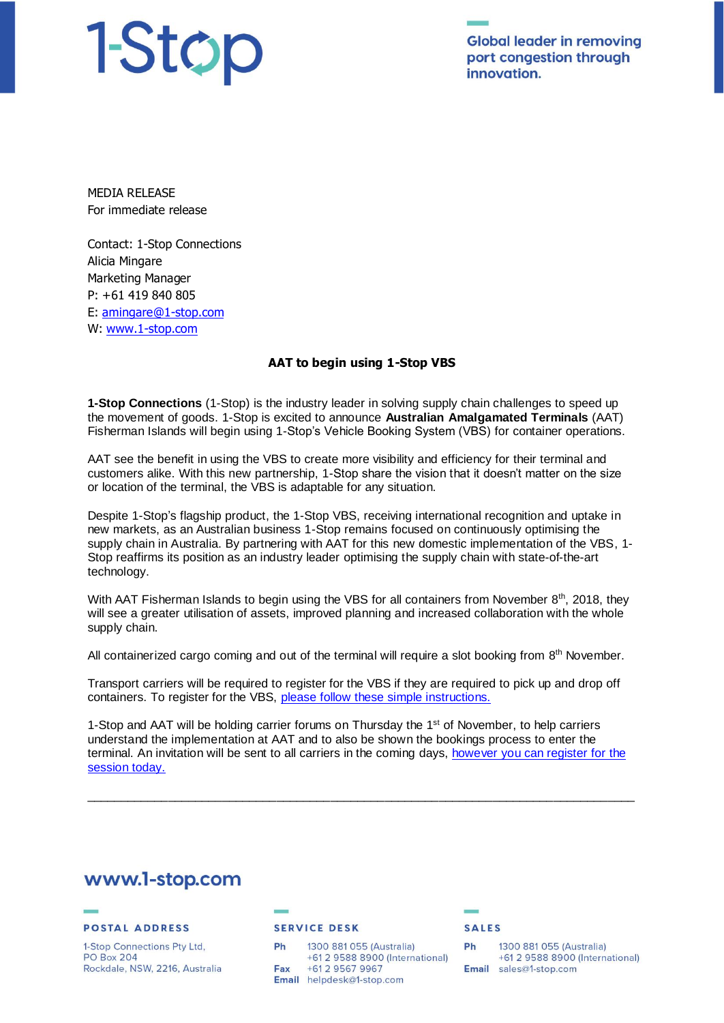# 1-Stop

**Global leader in removing** port congestion through innovation.

MEDIA RELEASE For immediate release

Contact: 1-Stop Connections Alicia Mingare Marketing Manager P: +61 419 840 805 E: [amingare@1-stop.com](mailto:amingare@1-stop.com) W: [www.1-stop.com](http://www.1-stop.com/)

# **AAT to begin using 1-Stop VBS**

**1-Stop Connections** (1-Stop) is the industry leader in solving supply chain challenges to speed up the movement of goods. 1-Stop is excited to announce **Australian Amalgamated Terminals** (AAT) Fisherman Islands will begin using 1-Stop's Vehicle Booking System (VBS) for container operations.

AAT see the benefit in using the VBS to create more visibility and efficiency for their terminal and customers alike. With this new partnership, 1-Stop share the vision that it doesn't matter on the size or location of the terminal, the VBS is adaptable for any situation.

Despite 1-Stop's flagship product, the 1-Stop VBS, receiving international recognition and uptake in new markets, as an Australian business 1-Stop remains focused on continuously optimising the supply chain in Australia. By partnering with AAT for this new domestic implementation of the VBS, 1- Stop reaffirms its position as an industry leader optimising the supply chain with state-of-the-art technology.

With AAT Fisherman Islands to begin using the VBS for all containers from November 8<sup>th</sup>, 2018, they will see a greater utilisation of assets, improved planning and increased collaboration with the whole supply chain.

All containerized cargo coming and out of the terminal will require a slot booking from 8<sup>th</sup> November.

Transport carriers will be required to register for the VBS if they are required to pick up and drop off containers. To register for the VBS, [please follow these simple instructions.](https://help.1-stop.biz/display/VBSE2/Before+you+start) 

1-Stop and AAT will be holding carrier forums on Thursday the 1<sup>st</sup> of November, to help carriers understand the implementation at AAT and to also be shown the bookings process to enter the terminal. An invitation will be sent to all carriers in the coming days, however you can register for the [session today.](https://www.surveymonkey.com/r/65FBJ5J)

\_\_\_\_\_\_\_\_\_\_\_\_\_\_\_\_\_\_\_\_\_\_\_\_\_\_\_\_\_\_\_\_\_\_\_\_\_\_\_\_\_\_\_\_\_\_\_\_\_\_\_\_\_\_\_\_\_\_\_\_\_\_\_\_\_\_\_\_\_\_\_\_\_\_\_\_\_\_\_\_\_

# www.1-stop.com

### **POSTAL ADDRESS**

1-Stop Connections Pty Ltd, **PO Box 204** Rockdale, NSW, 2216, Australia

### **SERVICE DESK**

1300 881 055 (Australia) Ph +61 2 9588 8900 (International) Fax +61 2 9567 9967 Email helpdesk@1-stop.com

### **SALES**

1300 881 055 (Australia) Ph +61 2 9588 8900 (International) Email sales@1-stop.com